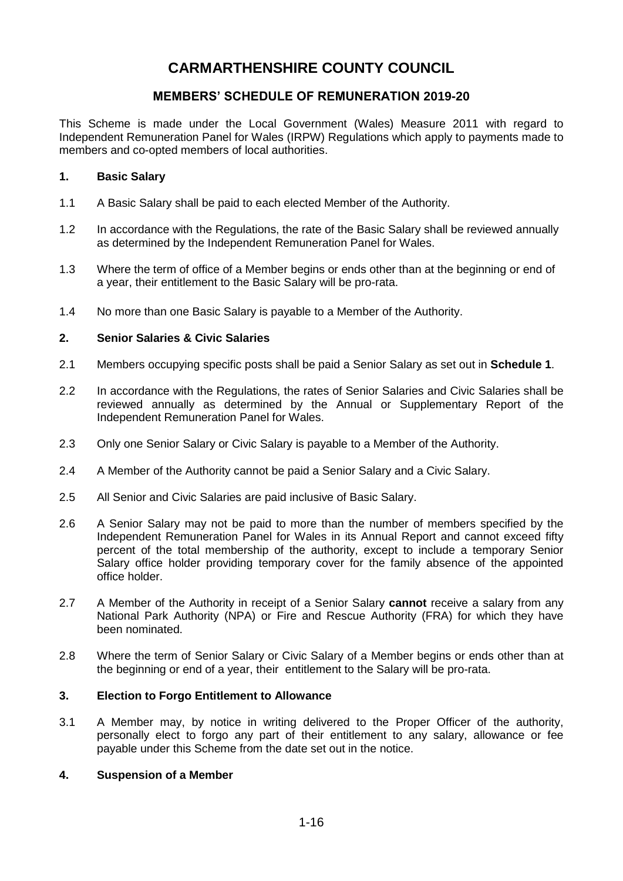# **CARMARTHENSHIRE COUNTY COUNCIL**

# **MEMBERS' SCHEDULE OF REMUNERATION 2019-20**

This Scheme is made under the Local Government (Wales) Measure 2011 with regard to Independent Remuneration Panel for Wales (IRPW) Regulations which apply to payments made to members and co-opted members of local authorities.

## **1. Basic Salary**

- 1.1 A Basic Salary shall be paid to each elected Member of the Authority.
- 1.2 In accordance with the Regulations, the rate of the Basic Salary shall be reviewed annually as determined by the Independent Remuneration Panel for Wales.
- 1.3 Where the term of office of a Member begins or ends other than at the beginning or end of a year, their entitlement to the Basic Salary will be pro-rata.
- 1.4 No more than one Basic Salary is payable to a Member of the Authority.

## **2. Senior Salaries & Civic Salaries**

- 2.1 Members occupying specific posts shall be paid a Senior Salary as set out in **Schedule 1**.
- 2.2 In accordance with the Regulations, the rates of Senior Salaries and Civic Salaries shall be reviewed annually as determined by the Annual or Supplementary Report of the Independent Remuneration Panel for Wales.
- 2.3 Only one Senior Salary or Civic Salary is payable to a Member of the Authority.
- 2.4 A Member of the Authority cannot be paid a Senior Salary and a Civic Salary.
- 2.5 All Senior and Civic Salaries are paid inclusive of Basic Salary.
- 2.6 A Senior Salary may not be paid to more than the number of members specified by the Independent Remuneration Panel for Wales in its Annual Report and cannot exceed fifty percent of the total membership of the authority, except to include a temporary Senior Salary office holder providing temporary cover for the family absence of the appointed office holder.
- 2.7 A Member of the Authority in receipt of a Senior Salary **cannot** receive a salary from any National Park Authority (NPA) or Fire and Rescue Authority (FRA) for which they have been nominated.
- 2.8 Where the term of Senior Salary or Civic Salary of a Member begins or ends other than at the beginning or end of a year, their entitlement to the Salary will be pro-rata.

## **3. Election to Forgo Entitlement to Allowance**

3.1 A Member may, by notice in writing delivered to the Proper Officer of the authority, personally elect to forgo any part of their entitlement to any salary, allowance or fee payable under this Scheme from the date set out in the notice.

## **4. Suspension of a Member**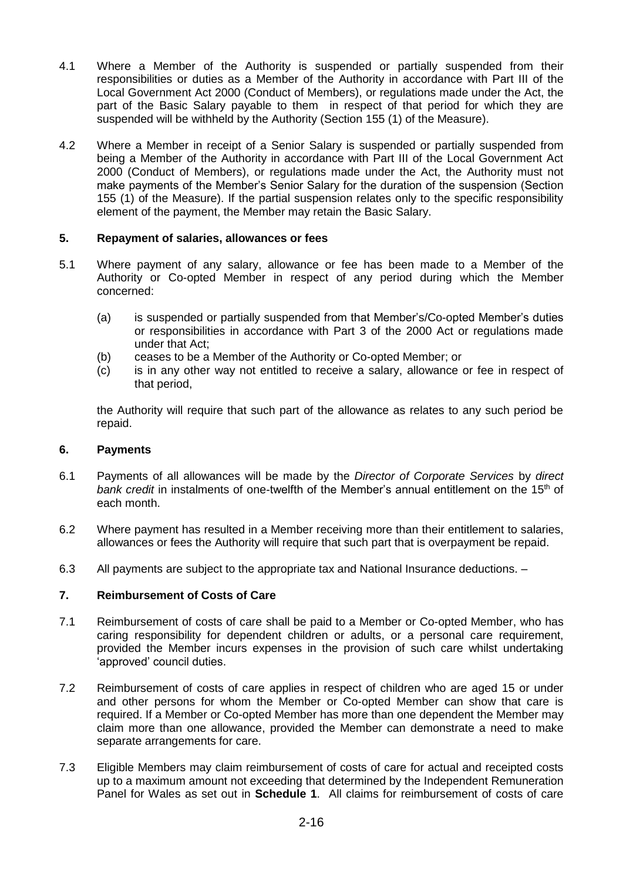- 4.1 Where a Member of the Authority is suspended or partially suspended from their responsibilities or duties as a Member of the Authority in accordance with Part III of the Local Government Act 2000 (Conduct of Members), or regulations made under the Act, the part of the Basic Salary payable to them in respect of that period for which they are suspended will be withheld by the Authority (Section 155 (1) of the Measure).
- 4.2 Where a Member in receipt of a Senior Salary is suspended or partially suspended from being a Member of the Authority in accordance with Part III of the Local Government Act 2000 (Conduct of Members), or regulations made under the Act, the Authority must not make payments of the Member's Senior Salary for the duration of the suspension (Section 155 (1) of the Measure). If the partial suspension relates only to the specific responsibility element of the payment, the Member may retain the Basic Salary.

## **5. Repayment of salaries, allowances or fees**

- 5.1 Where payment of any salary, allowance or fee has been made to a Member of the Authority or Co-opted Member in respect of any period during which the Member concerned:
	- (a) is suspended or partially suspended from that Member's/Co-opted Member's duties or responsibilities in accordance with Part 3 of the 2000 Act or regulations made under that Act;
	- (b) ceases to be a Member of the Authority or Co-opted Member; or
	- (c) is in any other way not entitled to receive a salary, allowance or fee in respect of that period,

the Authority will require that such part of the allowance as relates to any such period be repaid.

## **6. Payments**

- 6.1 Payments of all allowances will be made by the *Director of Corporate Services* by *direct*  bank credit in instalments of one-twelfth of the Member's annual entitlement on the 15<sup>th</sup> of each month.
- 6.2 Where payment has resulted in a Member receiving more than their entitlement to salaries, allowances or fees the Authority will require that such part that is overpayment be repaid.
- 6.3 All payments are subject to the appropriate tax and National Insurance deductions. –

## **7. Reimbursement of Costs of Care**

- 7.1 Reimbursement of costs of care shall be paid to a Member or Co-opted Member, who has caring responsibility for dependent children or adults, or a personal care requirement, provided the Member incurs expenses in the provision of such care whilst undertaking 'approved' council duties.
- 7.2 Reimbursement of costs of care applies in respect of children who are aged 15 or under and other persons for whom the Member or Co-opted Member can show that care is required. If a Member or Co-opted Member has more than one dependent the Member may claim more than one allowance, provided the Member can demonstrate a need to make separate arrangements for care.
- 7.3 Eligible Members may claim reimbursement of costs of care for actual and receipted costs up to a maximum amount not exceeding that determined by the Independent Remuneration Panel for Wales as set out in **Schedule 1**. All claims for reimbursement of costs of care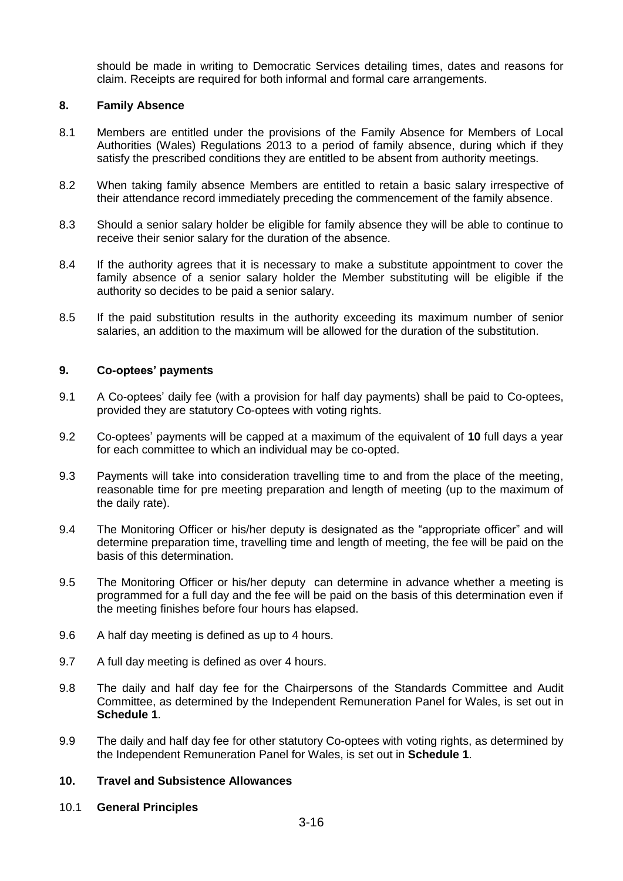should be made in writing to Democratic Services detailing times, dates and reasons for claim. Receipts are required for both informal and formal care arrangements.

#### **8. Family Absence**

- 8.1 Members are entitled under the provisions of the Family Absence for Members of Local Authorities (Wales) Regulations 2013 to a period of family absence, during which if they satisfy the prescribed conditions they are entitled to be absent from authority meetings.
- 8.2 When taking family absence Members are entitled to retain a basic salary irrespective of their attendance record immediately preceding the commencement of the family absence.
- 8.3 Should a senior salary holder be eligible for family absence they will be able to continue to receive their senior salary for the duration of the absence.
- 8.4 If the authority agrees that it is necessary to make a substitute appointment to cover the family absence of a senior salary holder the Member substituting will be eligible if the authority so decides to be paid a senior salary.
- 8.5 If the paid substitution results in the authority exceeding its maximum number of senior salaries, an addition to the maximum will be allowed for the duration of the substitution.

#### **9. Co-optees' payments**

- 9.1 A Co-optees' daily fee (with a provision for half day payments) shall be paid to Co-optees, provided they are statutory Co-optees with voting rights.
- 9.2 Co-optees' payments will be capped at a maximum of the equivalent of **10** full days a year for each committee to which an individual may be co-opted.
- 9.3 Payments will take into consideration travelling time to and from the place of the meeting, reasonable time for pre meeting preparation and length of meeting (up to the maximum of the daily rate).
- 9.4 The Monitoring Officer or his/her deputy is designated as the "appropriate officer" and will determine preparation time, travelling time and length of meeting, the fee will be paid on the basis of this determination.
- 9.5 The Monitoring Officer or his/her deputy can determine in advance whether a meeting is programmed for a full day and the fee will be paid on the basis of this determination even if the meeting finishes before four hours has elapsed.
- 9.6 A half day meeting is defined as up to 4 hours.
- 9.7 A full day meeting is defined as over 4 hours.
- 9.8 The daily and half day fee for the Chairpersons of the Standards Committee and Audit Committee, as determined by the Independent Remuneration Panel for Wales, is set out in **Schedule 1**.
- 9.9 The daily and half day fee for other statutory Co-optees with voting rights, as determined by the Independent Remuneration Panel for Wales, is set out in **Schedule 1**.

### **10. Travel and Subsistence Allowances**

10.1 **General Principles**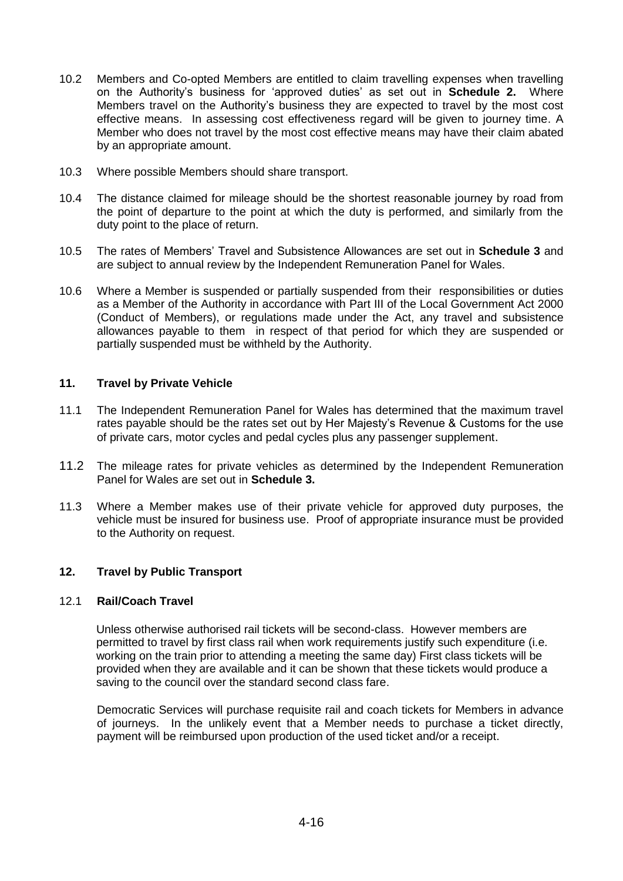- 10.2 Members and Co-opted Members are entitled to claim travelling expenses when travelling on the Authority's business for 'approved duties' as set out in **Schedule 2.** Where Members travel on the Authority's business they are expected to travel by the most cost effective means. In assessing cost effectiveness regard will be given to journey time. A Member who does not travel by the most cost effective means may have their claim abated by an appropriate amount.
- 10.3 Where possible Members should share transport.
- 10.4 The distance claimed for mileage should be the shortest reasonable journey by road from the point of departure to the point at which the duty is performed, and similarly from the duty point to the place of return.
- 10.5 The rates of Members' Travel and Subsistence Allowances are set out in **Schedule 3** and are subject to annual review by the Independent Remuneration Panel for Wales.
- 10.6 Where a Member is suspended or partially suspended from their responsibilities or duties as a Member of the Authority in accordance with Part III of the Local Government Act 2000 (Conduct of Members), or regulations made under the Act, any travel and subsistence allowances payable to them in respect of that period for which they are suspended or partially suspended must be withheld by the Authority.

# **11. Travel by Private Vehicle**

- 11.1 The Independent Remuneration Panel for Wales has determined that the maximum travel rates payable should be the rates set out by Her Majesty's Revenue & Customs for the use of private cars, motor cycles and pedal cycles plus any passenger supplement.
- 11.2 The mileage rates for private vehicles as determined by the Independent Remuneration Panel for Wales are set out in **Schedule 3.**
- 11.3 Where a Member makes use of their private vehicle for approved duty purposes, the vehicle must be insured for business use. Proof of appropriate insurance must be provided to the Authority on request.

## **12. Travel by Public Transport**

## 12.1 **Rail/Coach Travel**

Unless otherwise authorised rail tickets will be second-class. However members are permitted to travel by first class rail when work requirements justify such expenditure (i.e. working on the train prior to attending a meeting the same day) First class tickets will be provided when they are available and it can be shown that these tickets would produce a saving to the council over the standard second class fare.

Democratic Services will purchase requisite rail and coach tickets for Members in advance of journeys. In the unlikely event that a Member needs to purchase a ticket directly, payment will be reimbursed upon production of the used ticket and/or a receipt.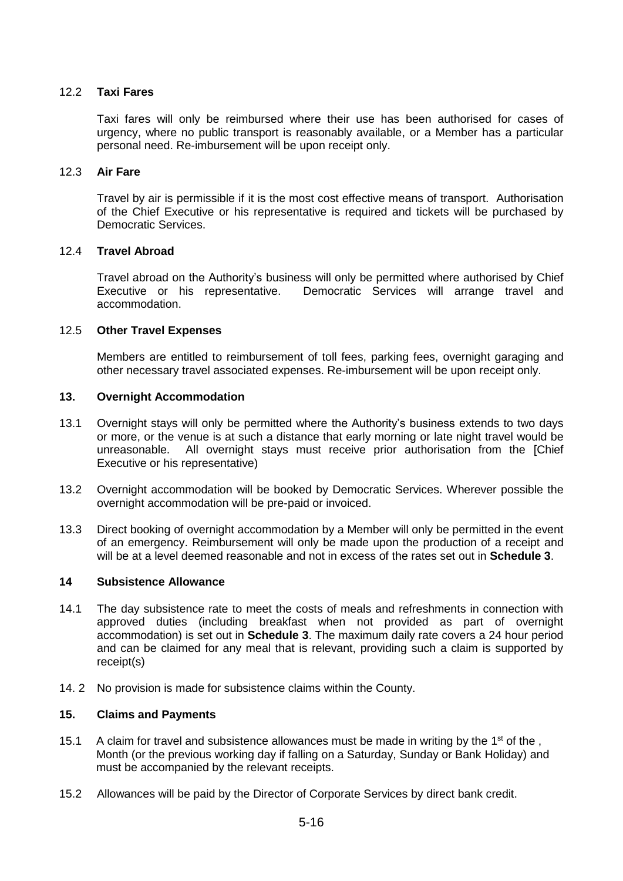### 12.2 **Taxi Fares**

Taxi fares will only be reimbursed where their use has been authorised for cases of urgency, where no public transport is reasonably available, or a Member has a particular personal need. Re-imbursement will be upon receipt only.

#### 12.3 **Air Fare**

Travel by air is permissible if it is the most cost effective means of transport. Authorisation of the Chief Executive or his representative is required and tickets will be purchased by Democratic Services.

#### 12.4 **Travel Abroad**

Travel abroad on the Authority's business will only be permitted where authorised by Chief Executive or his representative. Democratic Services will arrange travel and accommodation.

#### 12.5 **Other Travel Expenses**

Members are entitled to reimbursement of toll fees, parking fees, overnight garaging and other necessary travel associated expenses. Re-imbursement will be upon receipt only.

#### **13. Overnight Accommodation**

- 13.1 Overnight stays will only be permitted where the Authority's business extends to two days or more, or the venue is at such a distance that early morning or late night travel would be unreasonable. All overnight stays must receive prior authorisation from the [Chief Executive or his representative)
- 13.2 Overnight accommodation will be booked by Democratic Services. Wherever possible the overnight accommodation will be pre-paid or invoiced.
- 13.3 Direct booking of overnight accommodation by a Member will only be permitted in the event of an emergency. Reimbursement will only be made upon the production of a receipt and will be at a level deemed reasonable and not in excess of the rates set out in **Schedule 3**.

## **14 Subsistence Allowance**

- 14.1 The day subsistence rate to meet the costs of meals and refreshments in connection with approved duties (including breakfast when not provided as part of overnight accommodation) is set out in **Schedule 3**. The maximum daily rate covers a 24 hour period and can be claimed for any meal that is relevant, providing such a claim is supported by receipt(s)
- 14. 2 No provision is made for subsistence claims within the County.

## **15. Claims and Payments**

- 15.1 A claim for travel and subsistence allowances must be made in writing by the 1<sup>st</sup> of the, Month (or the previous working day if falling on a Saturday, Sunday or Bank Holiday) and must be accompanied by the relevant receipts.
- 15.2 Allowances will be paid by the Director of Corporate Services by direct bank credit.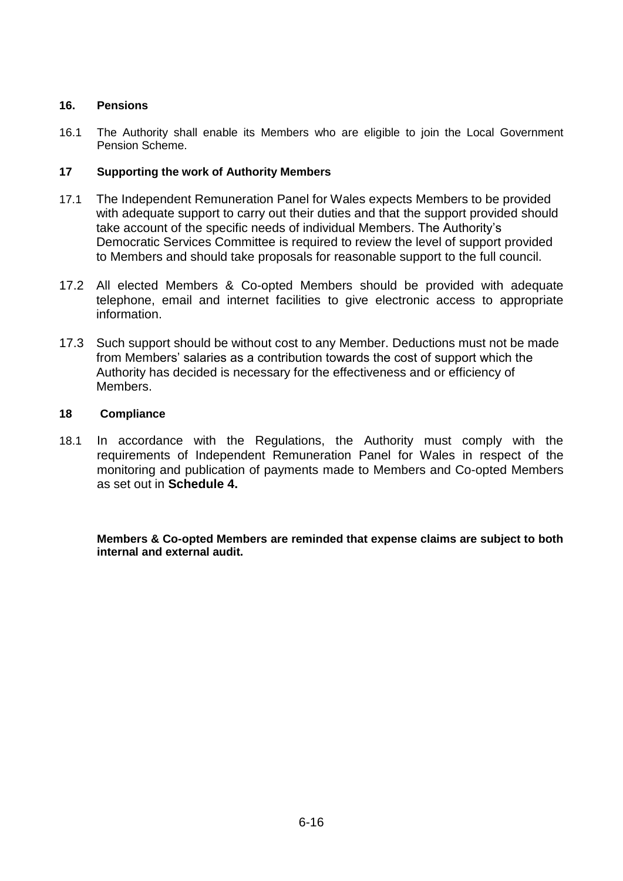## **16. Pensions**

16.1 The Authority shall enable its Members who are eligible to join the Local Government Pension Scheme.

## **17 Supporting the work of Authority Members**

- 17.1 The Independent Remuneration Panel for Wales expects Members to be provided with adequate support to carry out their duties and that the support provided should take account of the specific needs of individual Members. The Authority's Democratic Services Committee is required to review the level of support provided to Members and should take proposals for reasonable support to the full council.
- 17.2 All elected Members & Co-opted Members should be provided with adequate telephone, email and internet facilities to give electronic access to appropriate information.
- 17.3 Such support should be without cost to any Member. Deductions must not be made from Members' salaries as a contribution towards the cost of support which the Authority has decided is necessary for the effectiveness and or efficiency of Members.

## **18 Compliance**

18.1 In accordance with the Regulations, the Authority must comply with the requirements of Independent Remuneration Panel for Wales in respect of the monitoring and publication of payments made to Members and Co-opted Members as set out in **Schedule 4.**

**Members & Co-opted Members are reminded that expense claims are subject to both internal and external audit.**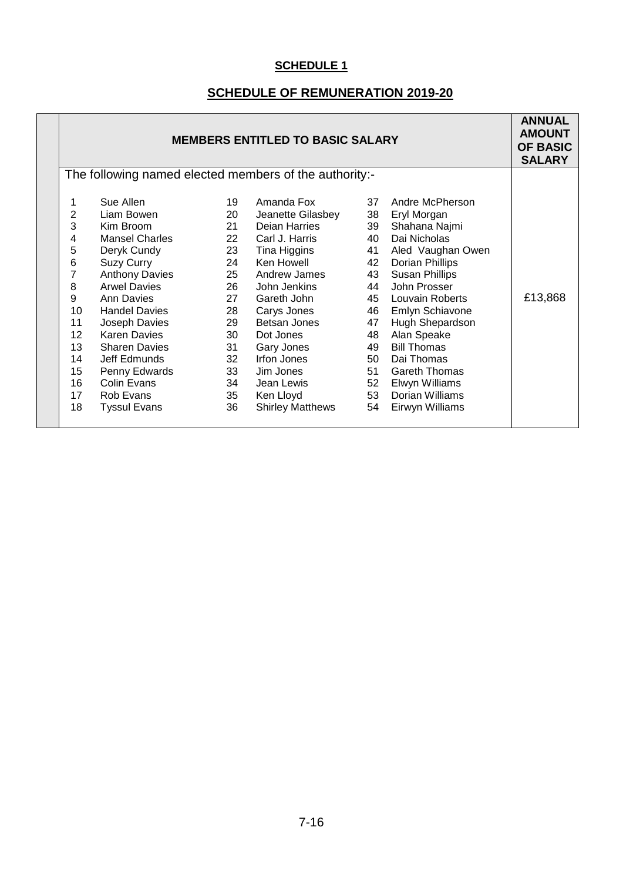# **SCHEDULE OF REMUNERATION 2019-20**

| <b>MEMBERS ENTITLED TO BASIC SALARY</b>                                                                 |                                                                                                                                                                                                                                                                                                                                                    |                                                                                                          |                                                                                                                                                                                                                                                                                             | <b>ANNUAL</b><br><b>AMOUNT</b><br><b>OF BASIC</b><br><b>SALARY</b>                           |                                                                                                                                                                                                                                                                                                                                                    |         |
|---------------------------------------------------------------------------------------------------------|----------------------------------------------------------------------------------------------------------------------------------------------------------------------------------------------------------------------------------------------------------------------------------------------------------------------------------------------------|----------------------------------------------------------------------------------------------------------|---------------------------------------------------------------------------------------------------------------------------------------------------------------------------------------------------------------------------------------------------------------------------------------------|----------------------------------------------------------------------------------------------|----------------------------------------------------------------------------------------------------------------------------------------------------------------------------------------------------------------------------------------------------------------------------------------------------------------------------------------------------|---------|
| The following named elected members of the authority:-                                                  |                                                                                                                                                                                                                                                                                                                                                    |                                                                                                          |                                                                                                                                                                                                                                                                                             |                                                                                              |                                                                                                                                                                                                                                                                                                                                                    |         |
| 2<br>3<br>4<br>5<br>6<br>$\overline{7}$<br>8<br>9<br>10<br>11<br>12<br>13<br>14<br>15<br>16<br>17<br>18 | Sue Allen<br>Liam Bowen<br>Kim Broom<br><b>Mansel Charles</b><br>Deryk Cundy<br><b>Suzy Curry</b><br><b>Anthony Davies</b><br><b>Arwel Davies</b><br><b>Ann Davies</b><br><b>Handel Davies</b><br>Joseph Davies<br><b>Karen Davies</b><br><b>Sharen Davies</b><br>Jeff Edmunds<br>Penny Edwards<br>Colin Evans<br>Rob Evans<br><b>Tyssul Evans</b> | 19<br>20<br>21<br>22<br>23<br>24<br>25<br>26<br>27<br>28<br>29<br>30<br>31<br>32<br>33<br>34<br>35<br>36 | Amanda Fox<br>Jeanette Gilasbey<br>Deian Harries<br>Carl J. Harris<br>Tina Higgins<br>Ken Howell<br>Andrew James<br>John Jenkins<br>Gareth John<br>Carys Jones<br>Betsan Jones<br>Dot Jones<br>Gary Jones<br>Irfon Jones<br>Jim Jones<br>Jean Lewis<br>Ken Lloyd<br><b>Shirley Matthews</b> | 37<br>38<br>39<br>40<br>41<br>42<br>43<br>44<br>47<br>48<br>49<br>50<br>51<br>52<br>53<br>54 | Andre McPherson<br>Eryl Morgan<br>Shahana Najmi<br>Dai Nicholas<br>Aled Vaughan Owen<br><b>Dorian Phillips</b><br>Susan Phillips<br>John Prosser<br>45 Louvain Roberts<br>46 Emlyn Schiavone<br>Hugh Shepardson<br>Alan Speake<br><b>Bill Thomas</b><br>Dai Thomas<br><b>Gareth Thomas</b><br>Elwyn Williams<br>Dorian Williams<br>Eirwyn Williams | £13,868 |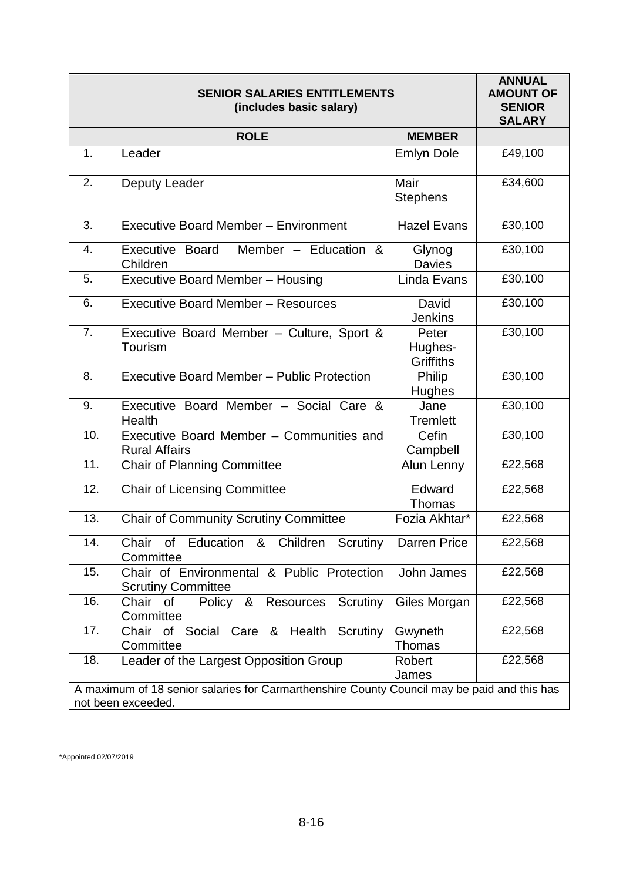|                                                                                                                   | <b>SENIOR SALARIES ENTITLEMENTS</b><br>(includes basic salary)          | <b>ANNUAL</b><br><b>AMOUNT OF</b><br><b>SENIOR</b><br><b>SALARY</b> |         |  |
|-------------------------------------------------------------------------------------------------------------------|-------------------------------------------------------------------------|---------------------------------------------------------------------|---------|--|
|                                                                                                                   | <b>ROLE</b>                                                             | <b>MEMBER</b>                                                       |         |  |
| 1.                                                                                                                | Leader                                                                  | <b>Emlyn Dole</b>                                                   | £49,100 |  |
| 2.                                                                                                                | Deputy Leader                                                           | Mair<br><b>Stephens</b>                                             | £34,600 |  |
| 3.                                                                                                                | <b>Executive Board Member - Environment</b>                             | <b>Hazel Evans</b>                                                  | £30,100 |  |
| $\overline{4}$ .                                                                                                  | Member - Education &<br>Executive Board<br>Children                     | Glynog<br><b>Davies</b>                                             | £30,100 |  |
| 5.                                                                                                                | <b>Executive Board Member - Housing</b>                                 | Linda Evans                                                         | £30,100 |  |
| 6.                                                                                                                | <b>Executive Board Member - Resources</b>                               | David<br><b>Jenkins</b>                                             | £30,100 |  |
| 7.                                                                                                                | Executive Board Member - Culture, Sport &<br>Tourism                    | Peter<br>Hughes-<br><b>Griffiths</b>                                | £30,100 |  |
| 8.                                                                                                                | Executive Board Member - Public Protection                              | Philip<br><b>Hughes</b>                                             | £30,100 |  |
| 9.                                                                                                                | Executive Board Member - Social Care &<br>Health                        | Jane<br><b>Tremlett</b>                                             | E30,100 |  |
| 10.                                                                                                               | Executive Board Member - Communities and<br><b>Rural Affairs</b>        | Cefin<br>Campbell                                                   | £30,100 |  |
| 11.                                                                                                               | <b>Chair of Planning Committee</b>                                      | Alun Lenny                                                          | £22,568 |  |
| 12.                                                                                                               | <b>Chair of Licensing Committee</b>                                     | Edward<br>Thomas                                                    | £22,568 |  |
| 13.                                                                                                               | <b>Chair of Community Scrutiny Committee</b>                            | Fozia Akhtar*                                                       | £22,568 |  |
| 14.                                                                                                               | Chair of Education & Children Scrutiny   Darren Price<br>Committee      |                                                                     | £22,568 |  |
| 15.                                                                                                               | Chair of Environmental & Public Protection<br><b>Scrutiny Committee</b> | John James                                                          | £22,568 |  |
| 16.                                                                                                               | Chair<br>&<br>Scrutiny<br>0f<br>Policy<br>Resources<br>Committee        | Giles Morgan                                                        | £22,568 |  |
| 17.                                                                                                               | Chair of Social Care & Health Scrutiny<br>Committee                     | Gwyneth<br>Thomas                                                   | £22,568 |  |
| 18.                                                                                                               | Leader of the Largest Opposition Group                                  | Robert<br>James                                                     | £22,568 |  |
| A maximum of 18 senior salaries for Carmarthenshire County Council may be paid and this has<br>not been exceeded. |                                                                         |                                                                     |         |  |

\*Appointed 02/07/2019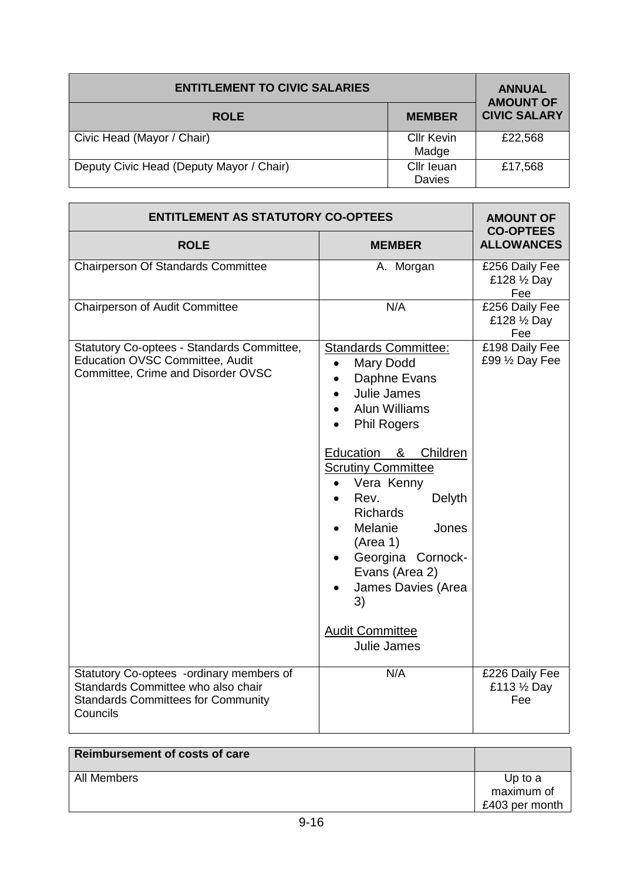| <b>ENTITLEMENT TO CIVIC SALARIES</b>     | <b>ANNUAL</b><br><b>AMOUNT OF</b> |                     |
|------------------------------------------|-----------------------------------|---------------------|
| <b>ROLE</b>                              | <b>MEMBER</b>                     | <b>CIVIC SALARY</b> |
| Civic Head (Mayor / Chair)               | <b>Cllr Kevin</b><br>Madge        | £22,568             |
| Deputy Civic Head (Deputy Mayor / Chair) | Cllr leuan<br>Davies              | £17,568             |

| <b>ENTITLEMENT AS STATUTORY CO-OPTEES</b>                                                                                               | <b>AMOUNT OF</b><br><b>CO-OPTEES</b>                                                                                                                                                                                                                                                                                                                                                                             |                                       |  |
|-----------------------------------------------------------------------------------------------------------------------------------------|------------------------------------------------------------------------------------------------------------------------------------------------------------------------------------------------------------------------------------------------------------------------------------------------------------------------------------------------------------------------------------------------------------------|---------------------------------------|--|
| <b>ROLE</b>                                                                                                                             | <b>MEMBER</b>                                                                                                                                                                                                                                                                                                                                                                                                    | <b>ALLOWANCES</b>                     |  |
| <b>Chairperson Of Standards Committee</b>                                                                                               | A. Morgan                                                                                                                                                                                                                                                                                                                                                                                                        | £256 Daily Fee<br>£128 1/2 Day<br>Fee |  |
| Chairperson of Audit Committee                                                                                                          | N/A                                                                                                                                                                                                                                                                                                                                                                                                              | £256 Daily Fee<br>£128 1/2 Day<br>Fee |  |
| Statutory Co-optees - Standards Committee,<br><b>Education OVSC Committee, Audit</b><br>Committee, Crime and Disorder OVSC              | <b>Standards Committee:</b><br>Mary Dodd<br>$\bullet$<br>Daphne Evans<br>$\bullet$<br>Julie James<br><b>Alun Williams</b><br><b>Phil Rogers</b><br>Education & Children<br><b>Scrutiny Committee</b><br>Vera Kenny<br>$\bullet$<br>Rev.<br>Delyth<br><b>Richards</b><br>Melanie<br>Jones<br>(Area 1)<br>Georgina Cornock-<br>Evans (Area 2)<br>James Davies (Area<br>3)<br><b>Audit Committee</b><br>Julie James | £198 Daily Fee<br>£99 1/2 Day Fee     |  |
| Statutory Co-optees -ordinary members of<br>Standards Committee who also chair<br><b>Standards Committees for Community</b><br>Councils | N/A                                                                                                                                                                                                                                                                                                                                                                                                              | £226 Daily Fee<br>£113 1/2 Day<br>Fee |  |

| Reimbursement of costs of care |                         |
|--------------------------------|-------------------------|
| All Members                    | Up to $a$<br>maximum of |
|                                | £403 per month          |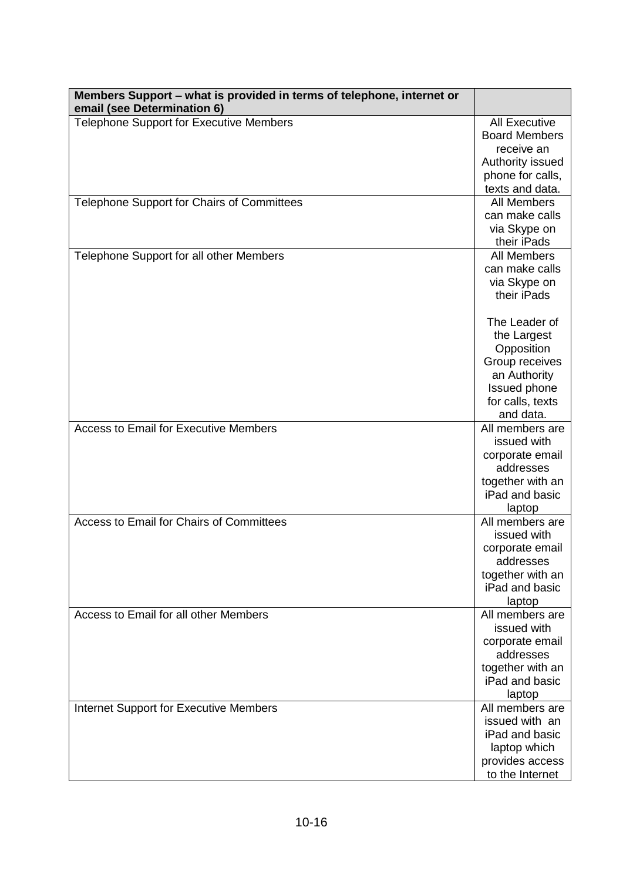| Members Support – what is provided in terms of telephone, internet or<br>email (see Determination 6) |                                                                                                                               |
|------------------------------------------------------------------------------------------------------|-------------------------------------------------------------------------------------------------------------------------------|
| <b>Telephone Support for Executive Members</b>                                                       | <b>All Executive</b><br><b>Board Members</b><br>receive an<br>Authority issued<br>phone for calls,<br>texts and data.         |
| Telephone Support for Chairs of Committees                                                           | <b>All Members</b><br>can make calls<br>via Skype on<br>their iPads                                                           |
| Telephone Support for all other Members                                                              | <b>All Members</b><br>can make calls<br>via Skype on<br>their iPads                                                           |
|                                                                                                      | The Leader of<br>the Largest<br>Opposition<br>Group receives<br>an Authority<br>Issued phone<br>for calls, texts<br>and data. |
| <b>Access to Email for Executive Members</b>                                                         | All members are<br>issued with<br>corporate email<br>addresses<br>together with an<br>iPad and basic<br>laptop                |
| Access to Email for Chairs of Committees                                                             | All members are<br>issued with<br>corporate email<br>addresses<br>together with an<br>iPad and basic<br>laptop                |
| Access to Email for all other Members                                                                | All members are<br>issued with<br>corporate email<br>addresses<br>together with an<br>iPad and basic<br>laptop                |
| <b>Internet Support for Executive Members</b>                                                        | All members are<br>issued with an<br>iPad and basic<br>laptop which<br>provides access<br>to the Internet                     |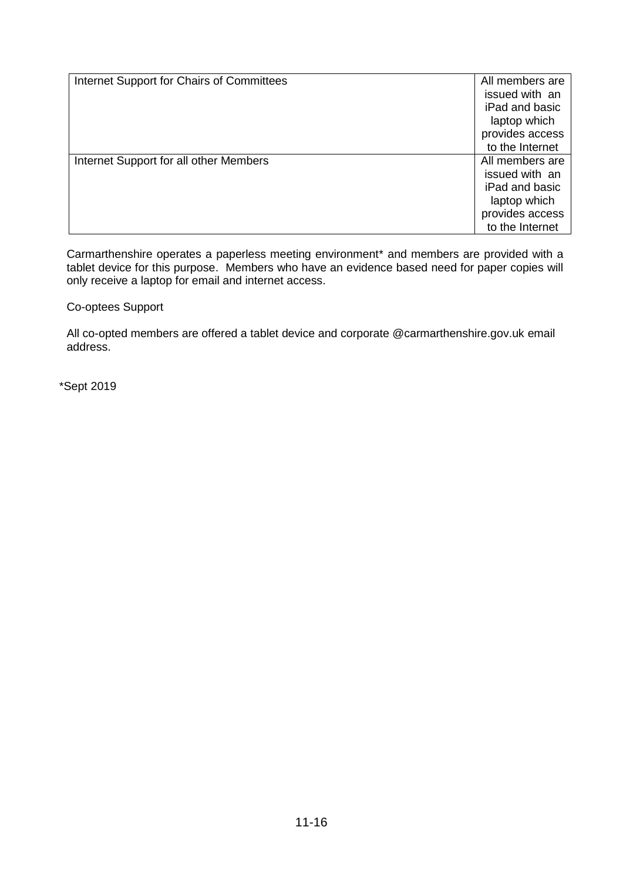| Internet Support for Chairs of Committees | All members are<br>issued with an<br>iPad and basic<br>laptop which                                       |
|-------------------------------------------|-----------------------------------------------------------------------------------------------------------|
|                                           | provides access<br>to the Internet                                                                        |
| Internet Support for all other Members    | All members are<br>issued with an<br>iPad and basic<br>laptop which<br>provides access<br>to the Internet |

Carmarthenshire operates a paperless meeting environment\* and members are provided with a tablet device for this purpose. Members who have an evidence based need for paper copies will only receive a laptop for email and internet access.

Co-optees Support

All co-opted members are offered a tablet device and corporate @carmarthenshire.gov.uk email address.

\*Sept 2019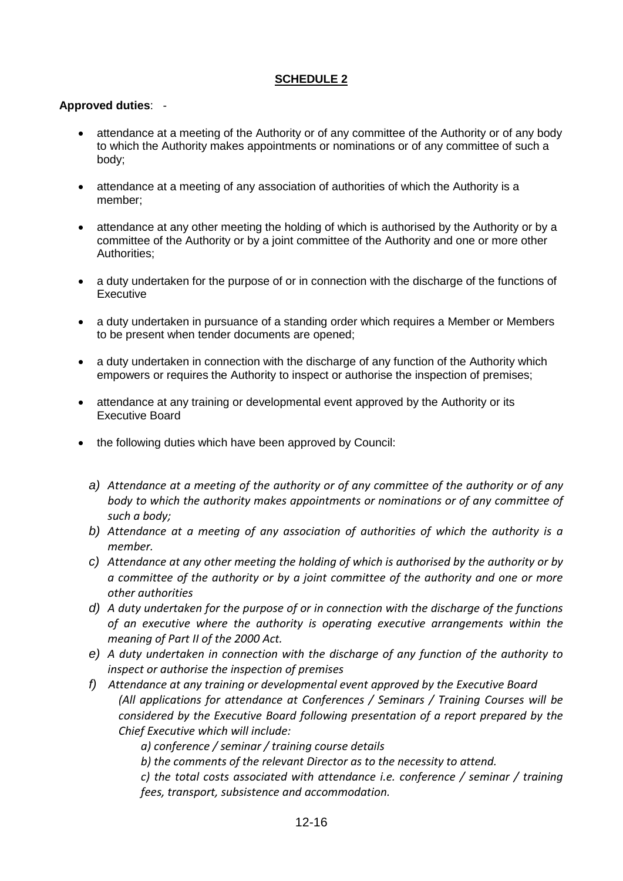## **Approved duties**: -

- attendance at a meeting of the Authority or of any committee of the Authority or of any body to which the Authority makes appointments or nominations or of any committee of such a body;
- attendance at a meeting of any association of authorities of which the Authority is a member;
- attendance at any other meeting the holding of which is authorised by the Authority or by a committee of the Authority or by a joint committee of the Authority and one or more other Authorities;
- a duty undertaken for the purpose of or in connection with the discharge of the functions of **Executive**
- a duty undertaken in pursuance of a standing order which requires a Member or Members to be present when tender documents are opened;
- a duty undertaken in connection with the discharge of any function of the Authority which empowers or requires the Authority to inspect or authorise the inspection of premises;
- attendance at any training or developmental event approved by the Authority or its Executive Board
- the following duties which have been approved by Council:
	- *a) Attendance at a meeting of the authority or of any committee of the authority or of any body to which the authority makes appointments or nominations or of any committee of such a body;*
	- *b) Attendance at a meeting of any association of authorities of which the authority is a member.*
	- *c) Attendance at any other meeting the holding of which is authorised by the authority or by a committee of the authority or by a joint committee of the authority and one or more other authorities*
	- *d) A duty undertaken for the purpose of or in connection with the discharge of the functions of an executive where the authority is operating executive arrangements within the meaning of Part II of the 2000 Act.*
	- *e) A duty undertaken in connection with the discharge of any function of the authority to inspect or authorise the inspection of premises*
	- *f) Attendance at any training or developmental event approved by the Executive Board (All applications for attendance at Conferences / Seminars / Training Courses will be considered by the Executive Board following presentation of a report prepared by the Chief Executive which will include:*

*a) conference / seminar / training course details*

*b) the comments of the relevant Director as to the necessity to attend.*

*c) the total costs associated with attendance i.e. conference / seminar / training fees, transport, subsistence and accommodation.*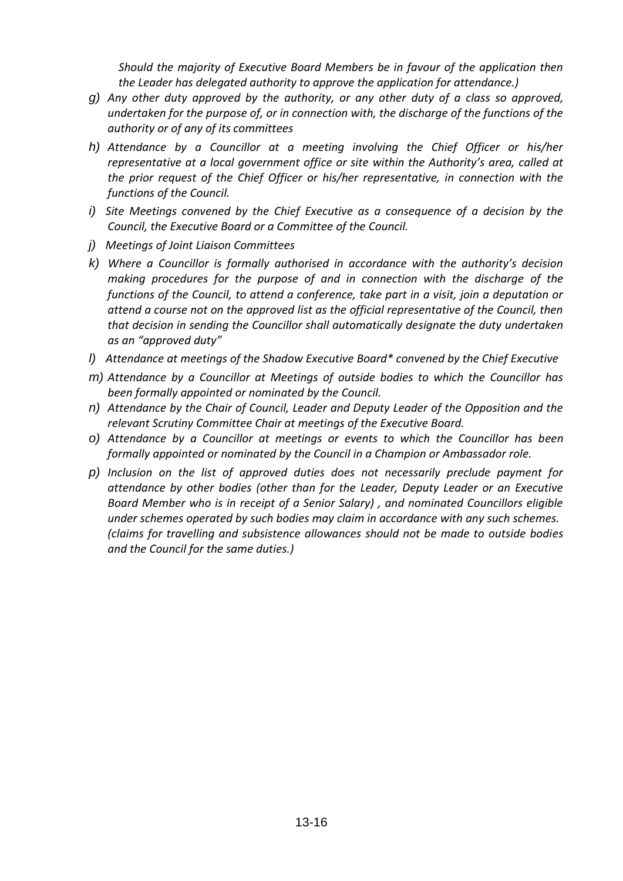*Should the majority of Executive Board Members be in favour of the application then the Leader has delegated authority to approve the application for attendance.)*

- *g) Any other duty approved by the authority, or any other duty of a class so approved, undertaken for the purpose of, or in connection with, the discharge of the functions of the authority or of any of its committees*
- *h) Attendance by a Councillor at a meeting involving the Chief Officer or his/her representative at a local government office or site within the Authority's area, called at the prior request of the Chief Officer or his/her representative, in connection with the functions of the Council.*
- *i) Site Meetings convened by the Chief Executive as a consequence of a decision by the Council, the Executive Board or a Committee of the Council.*
- *j) Meetings of Joint Liaison Committees*
- *k) Where a Councillor is formally authorised in accordance with the authority's decision making procedures for the purpose of and in connection with the discharge of the functions of the Council, to attend a conference, take part in a visit, join a deputation or attend a course not on the approved list as the official representative of the Council, then that decision in sending the Councillor shall automatically designate the duty undertaken as an "approved duty"*
- *l) Attendance at meetings of the Shadow Executive Board\* convened by the Chief Executive*
- *m) Attendance by a Councillor at Meetings of outside bodies to which the Councillor has been formally appointed or nominated by the Council.*
- *n) Attendance by the Chair of Council, Leader and Deputy Leader of the Opposition and the relevant Scrutiny Committee Chair at meetings of the Executive Board.*
- *o) Attendance by a Councillor at meetings or events to which the Councillor has been formally appointed or nominated by the Council in a Champion or Ambassador role.*
- *p) Inclusion on the list of approved duties does not necessarily preclude payment for attendance by other bodies (other than for the Leader, Deputy Leader or an Executive Board Member who is in receipt of a Senior Salary) , and nominated Councillors eligible under schemes operated by such bodies may claim in accordance with any such schemes. (claims for travelling and subsistence allowances should not be made to outside bodies and the Council for the same duties.)*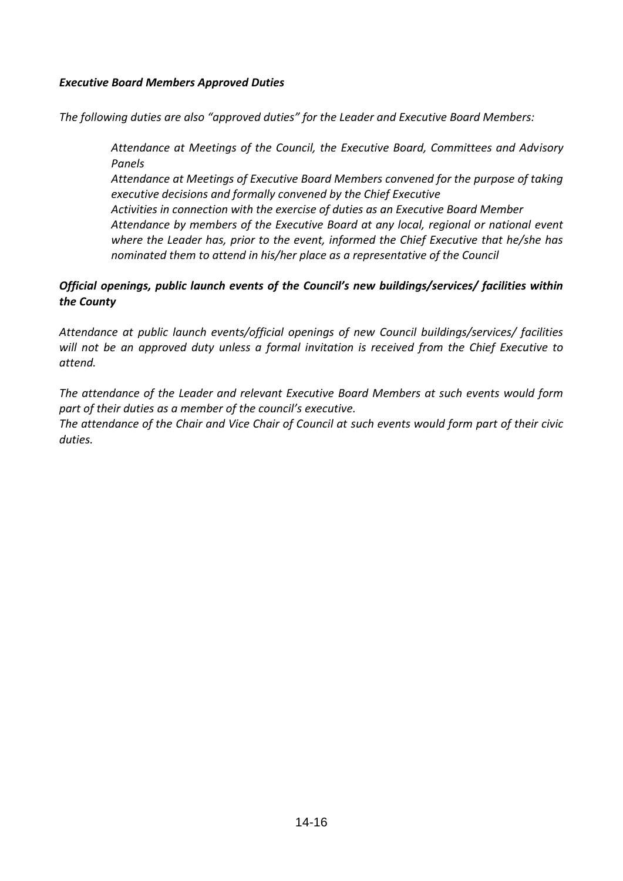## *Executive Board Members Approved Duties*

*The following duties are also "approved duties" for the Leader and Executive Board Members:*

*Attendance at Meetings of the Council, the Executive Board, Committees and Advisory Panels*

*Attendance at Meetings of Executive Board Members convened for the purpose of taking executive decisions and formally convened by the Chief Executive*

*Activities in connection with the exercise of duties as an Executive Board Member Attendance by members of the Executive Board at any local, regional or national event where the Leader has, prior to the event, informed the Chief Executive that he/she has nominated them to attend in his/her place as a representative of the Council*

# *Official openings, public launch events of the Council's new buildings/services/ facilities within the County*

*Attendance at public launch events/official openings of new Council buildings/services/ facilities will not be an approved duty unless a formal invitation is received from the Chief Executive to attend.* 

*The attendance of the Leader and relevant Executive Board Members at such events would form part of their duties as a member of the council's executive.* 

*The attendance of the Chair and Vice Chair of Council at such events would form part of their civic duties.*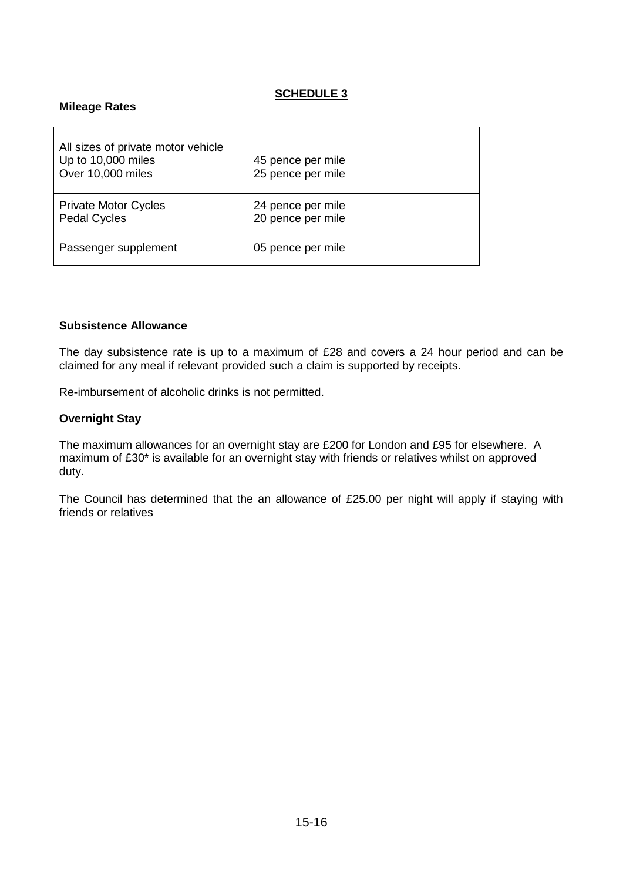### **Mileage Rates**

| All sizes of private motor vehicle<br>Up to 10,000 miles<br>Over 10,000 miles | 45 pence per mile<br>25 pence per mile |
|-------------------------------------------------------------------------------|----------------------------------------|
| <b>Private Motor Cycles</b><br><b>Pedal Cycles</b>                            | 24 pence per mile<br>20 pence per mile |
| Passenger supplement                                                          | 05 pence per mile                      |

#### **Subsistence Allowance**

The day subsistence rate is up to a maximum of £28 and covers a 24 hour period and can be claimed for any meal if relevant provided such a claim is supported by receipts.

Re-imbursement of alcoholic drinks is not permitted.

#### **Overnight Stay**

The maximum allowances for an overnight stay are £200 for London and £95 for elsewhere. A maximum of £30\* is available for an overnight stay with friends or relatives whilst on approved duty.

The Council has determined that the an allowance of £25.00 per night will apply if staying with friends or relatives